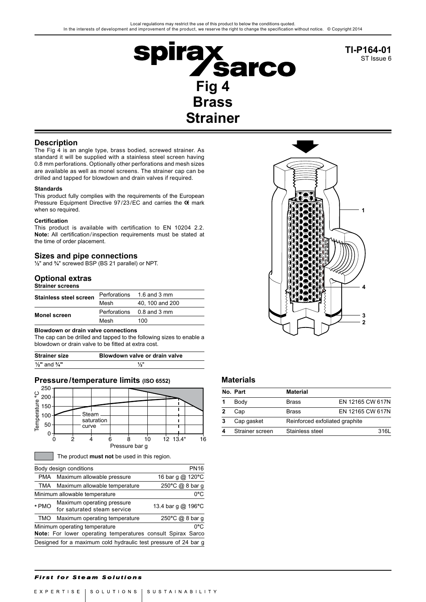

**TI-P164-01** ST Issue 6

### **Description**

The Fig 4 is an angle type, brass bodied, screwed strainer. As standard it will be supplied with a stainless steel screen having 0.8 mm perforations. Optionally other perforations and mesh sizes are available as well as monel screens. The strainer cap can be drilled and tapped for blowdown and drain valves if required.

#### **Standards**

This product fully complies with the requirements of the European Pressure Equipment Directive 97/23/EC and carries the C mark when so required.

#### **Certification**

This product is available with certification to EN 10204 2.2. **Note:** All certification/inspection requirements must be stated at the time of order placement.

### **Sizes and pipe connections**

**½**" and **¾**" screwed BSP (BS 21 parallel) or NPT.

# **Optional extras**

| <b>Strainer screens</b>       |              |                  |
|-------------------------------|--------------|------------------|
| <b>Stainless steel screen</b> | Perforations | 1.6 and 3 mm     |
|                               | Mesh         | 40, 100 and 200  |
| <b>Monel screen</b>           | Perforations | $0.8$ and $3$ mm |
|                               | Mesh         | 100              |

#### **Blowdown or drain valve connections**

The cap can be drilled and tapped to the following sizes to enable a blowdown or drain valve to be fitted at extra cost.

| <b>Strainer size</b>                | Blowdown valve or drain valve |
|-------------------------------------|-------------------------------|
| $\frac{1}{2}$ " and $\frac{3}{4}$ " | 1/2"                          |

## **Pressure/temperature limits (ISO 6552)**



|       | Body design conditions                                          | <b>PN16</b>        |
|-------|-----------------------------------------------------------------|--------------------|
|       | PMA Maximum allowable pressure                                  | 16 bar g @ 120°C   |
|       | TMA Maximum allowable temperature                               | 250°C @ 8 bar g    |
|       | Minimum allowable temperature                                   | 0°C                |
| * PMO | Maximum operating pressure<br>for saturated steam service       | 13.4 bar g @ 196°C |
|       | TMO Maximum operating temperature                               | 250°C @ 8 bar g    |
|       | Minimum operating temperature                                   | 0°C                |
|       | Note: For lower operating temperatures consult Spirax Sarco     |                    |
|       | Designed for a maximum cold hydraulic test pressure of 24 bar g |                    |
|       |                                                                 |                    |



# **Materials**

|              | No. Part        | <b>Material</b>                |                  |
|--------------|-----------------|--------------------------------|------------------|
|              | Body            | <b>Brass</b>                   | EN 12165 CW 617N |
| $\mathbf{2}$ | Cap             | <b>Brass</b>                   | EN 12165 CW 617N |
| 3            | Cap gasket      | Reinforced exfoliated graphite |                  |
|              | Strainer screen | Stainless steel                | 3161             |

### **First for Steam Solutions**